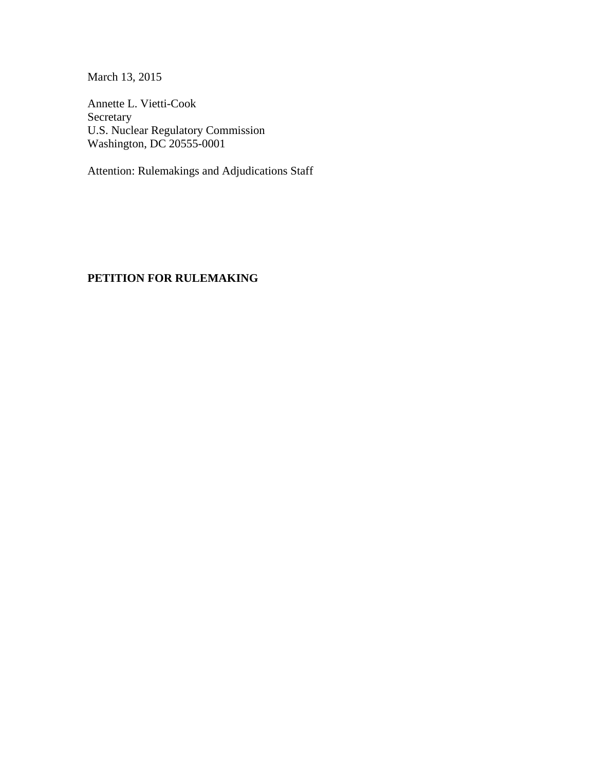March 13, 2015

Annette L. Vietti-Cook Secretary U.S. Nuclear Regulatory Commission Washington, DC 20555-0001

Attention: Rulemakings and Adjudications Staff

### **PETITION FOR RULEMAKING**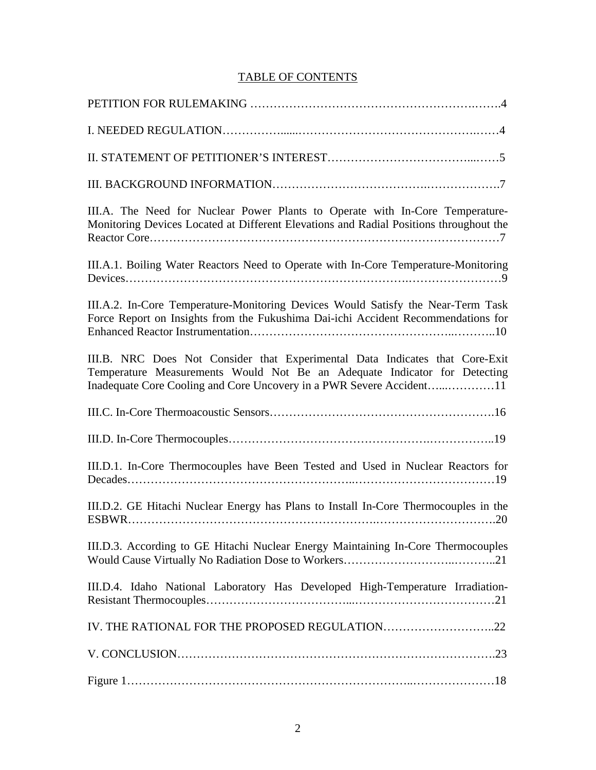### TABLE OF CONTENTS

| III.A. The Need for Nuclear Power Plants to Operate with In-Core Temperature-<br>Monitoring Devices Located at Different Elevations and Radial Positions throughout the |
|-------------------------------------------------------------------------------------------------------------------------------------------------------------------------|
| III.A.1. Boiling Water Reactors Need to Operate with In-Core Temperature-Monitoring                                                                                     |
| III.A.2. In-Core Temperature-Monitoring Devices Would Satisfy the Near-Term Task<br>Force Report on Insights from the Fukushima Dai-ichi Accident Recommendations for   |
| III.B. NRC Does Not Consider that Experimental Data Indicates that Core-Exit<br>Temperature Measurements Would Not Be an Adequate Indicator for Detecting               |
| Inadequate Core Cooling and Core Uncovery in a PWR Severe Accident11                                                                                                    |
|                                                                                                                                                                         |
|                                                                                                                                                                         |
| III.D.1. In-Core Thermocouples have Been Tested and Used in Nuclear Reactors for                                                                                        |
| III.D.2. GE Hitachi Nuclear Energy has Plans to Install In-Core Thermocouples in the                                                                                    |
| III.D.3. According to GE Hitachi Nuclear Energy Maintaining In-Core Thermocouples                                                                                       |
| III.D.4. Idaho National Laboratory Has Developed High-Temperature Irradiation-                                                                                          |
| IV. THE RATIONAL FOR THE PROPOSED REGULATION22                                                                                                                          |
|                                                                                                                                                                         |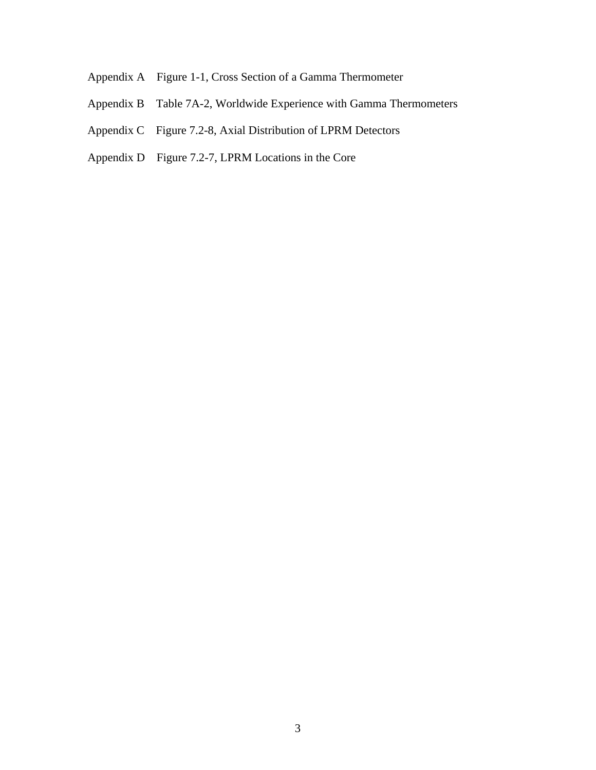- Appendix A Figure 1-1, Cross Section of a Gamma Thermometer
- Appendix B Table 7A-2, Worldwide Experience with Gamma Thermometers
- Appendix C Figure 7.2-8, Axial Distribution of LPRM Detectors
- Appendix D Figure 7.2-7, LPRM Locations in the Core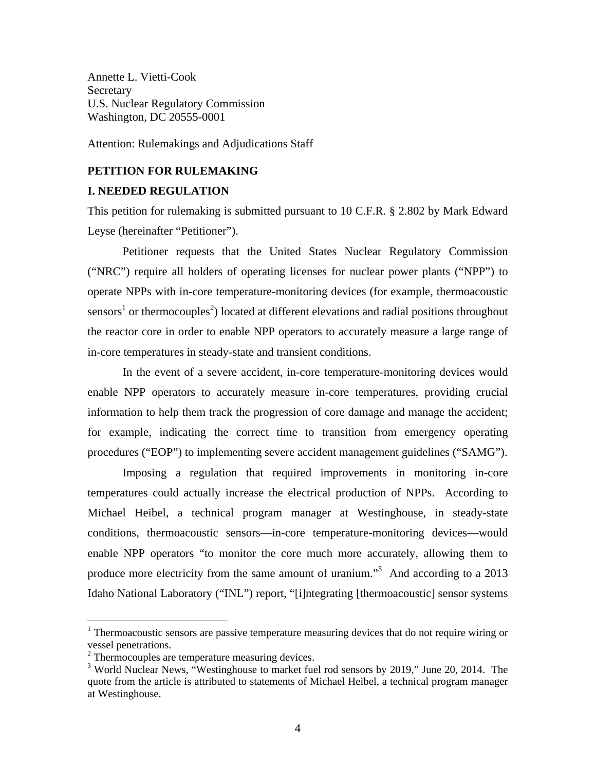Annette L. Vietti-Cook Secretary U.S. Nuclear Regulatory Commission Washington, DC 20555-0001

Attention: Rulemakings and Adjudications Staff

#### **PETITION FOR RULEMAKING**

#### **I. NEEDED REGULATION**

This petition for rulemaking is submitted pursuant to 10 C.F.R. § 2.802 by Mark Edward Leyse (hereinafter "Petitioner").

Petitioner requests that the United States Nuclear Regulatory Commission ("NRC") require all holders of operating licenses for nuclear power plants ("NPP") to operate NPPs with in-core temperature-monitoring devices (for example, thermoacoustic sensors<sup>1</sup> or thermocouples<sup>2</sup>) located at different elevations and radial positions throughout the reactor core in order to enable NPP operators to accurately measure a large range of in-core temperatures in steady-state and transient conditions.

In the event of a severe accident, in-core temperature-monitoring devices would enable NPP operators to accurately measure in-core temperatures, providing crucial information to help them track the progression of core damage and manage the accident; for example, indicating the correct time to transition from emergency operating procedures ("EOP") to implementing severe accident management guidelines ("SAMG").

Imposing a regulation that required improvements in monitoring in-core temperatures could actually increase the electrical production of NPPs. According to Michael Heibel, a technical program manager at Westinghouse, in steady-state conditions, thermoacoustic sensors—in-core temperature-monitoring devices—would enable NPP operators "to monitor the core much more accurately, allowing them to produce more electricity from the same amount of uranium."<sup>3</sup> And according to a 2013 Idaho National Laboratory ("INL") report, "[i]ntegrating [thermoacoustic] sensor systems

1

<sup>&</sup>lt;sup>1</sup> Thermoacoustic sensors are passive temperature measuring devices that do not require wiring or vessel penetrations.

<sup>&</sup>lt;sup>2</sup> Thermocouples are temperature measuring devices.

<sup>&</sup>lt;sup>3</sup> World Nuclear News, "Westinghouse to market fuel rod sensors by 2019," June 20, 2014. The quote from the article is attributed to statements of Michael Heibel, a technical program manager at Westinghouse.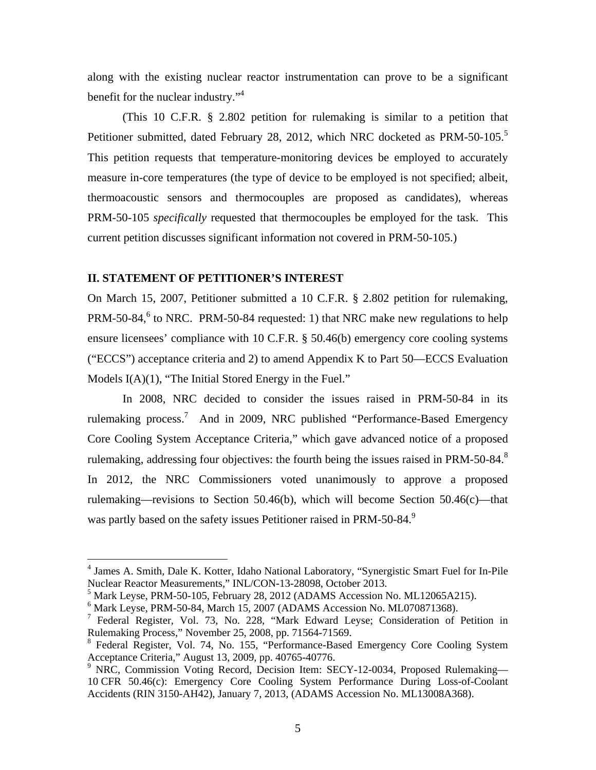along with the existing nuclear reactor instrumentation can prove to be a significant benefit for the nuclear industry."<sup>4</sup>

(This 10 C.F.R. § 2.802 petition for rulemaking is similar to a petition that Petitioner submitted, dated February 28, 2012, which NRC docketed as PRM-50-105.<sup>5</sup> This petition requests that temperature-monitoring devices be employed to accurately measure in-core temperatures (the type of device to be employed is not specified; albeit, thermoacoustic sensors and thermocouples are proposed as candidates), whereas PRM-50-105 *specifically* requested that thermocouples be employed for the task. This current petition discusses significant information not covered in PRM-50-105.)

#### **II. STATEMENT OF PETITIONER'S INTEREST**

 $\overline{a}$ 

On March 15, 2007, Petitioner submitted a 10 C.F.R. § 2.802 petition for rulemaking, PRM-50-84,<sup>6</sup> to NRC. PRM-50-84 requested: 1) that NRC make new regulations to help ensure licensees' compliance with 10 C.F.R. § 50.46(b) emergency core cooling systems ("ECCS") acceptance criteria and 2) to amend Appendix K to Part 50—ECCS Evaluation Models I(A)(1), "The Initial Stored Energy in the Fuel."

In 2008, NRC decided to consider the issues raised in PRM-50-84 in its rulemaking process.<sup>7</sup> And in 2009, NRC published "Performance-Based Emergency Core Cooling System Acceptance Criteria," which gave advanced notice of a proposed rulemaking, addressing four objectives: the fourth being the issues raised in PRM-50-84. $8$ In 2012, the NRC Commissioners voted unanimously to approve a proposed rulemaking—revisions to Section 50.46(b), which will become Section 50.46(c)—that was partly based on the safety issues Petitioner raised in PRM-50-84.<sup>9</sup>

<sup>&</sup>lt;sup>4</sup> James A. Smith, Dale K. Kotter, Idaho National Laboratory, "Synergistic Smart Fuel for In-Pile Nuclear Reactor Measurements," INL/CON-13-28098, October 2013.

 $<sup>5</sup>$  Mark Leyse, PRM-50-105, February 28, 2012 (ADAMS Accession No. ML12065A215).</sup>

<sup>6</sup> Mark Leyse, PRM-50-84, March 15, 2007 (ADAMS Accession No. ML070871368).

<sup>&</sup>lt;sup>7</sup> Federal Register, Vol. 73, No. 228, "Mark Edward Leyse; Consideration of Petition in Rulemaking Process," November 25, 2008, pp. 71564-71569.

<sup>&</sup>lt;sup>8</sup> Federal Register, Vol. 74, No. 155, "Performance-Based Emergency Core Cooling System Acceptance Criteria," August 13, 2009, pp. 40765-40776.

<sup>&</sup>lt;sup>9</sup> NRC, Commission Voting Record, Decision Item: SECY-12-0034, Proposed Rulemaking-10 CFR 50.46(c): Emergency Core Cooling System Performance During Loss-of-Coolant Accidents (RIN 3150-AH42), January 7, 2013, (ADAMS Accession No. ML13008A368).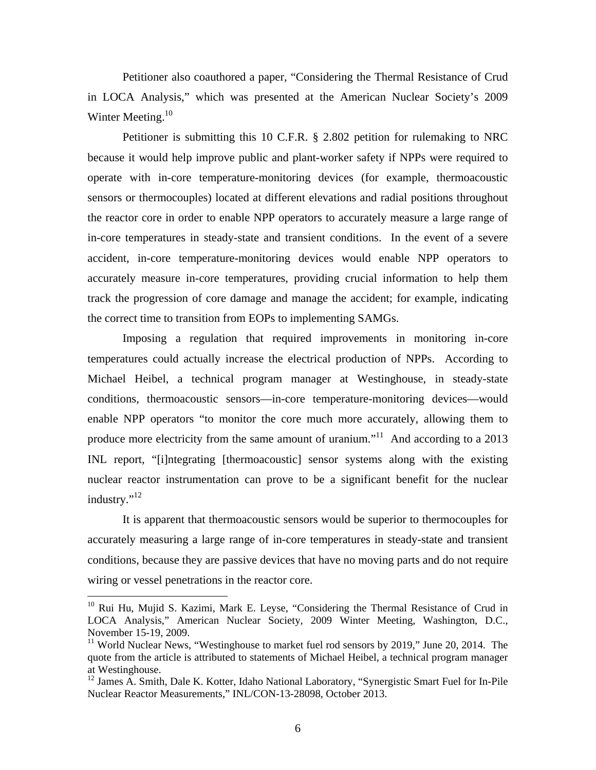Petitioner also coauthored a paper, "Considering the Thermal Resistance of Crud in LOCA Analysis," which was presented at the American Nuclear Society's 2009 Winter Meeting. $10$ 

Petitioner is submitting this 10 C.F.R. § 2.802 petition for rulemaking to NRC because it would help improve public and plant-worker safety if NPPs were required to operate with in-core temperature-monitoring devices (for example, thermoacoustic sensors or thermocouples) located at different elevations and radial positions throughout the reactor core in order to enable NPP operators to accurately measure a large range of in-core temperatures in steady-state and transient conditions. In the event of a severe accident, in-core temperature-monitoring devices would enable NPP operators to accurately measure in-core temperatures, providing crucial information to help them track the progression of core damage and manage the accident; for example, indicating the correct time to transition from EOPs to implementing SAMGs.

Imposing a regulation that required improvements in monitoring in-core temperatures could actually increase the electrical production of NPPs. According to Michael Heibel, a technical program manager at Westinghouse, in steady-state conditions, thermoacoustic sensors—in-core temperature-monitoring devices—would enable NPP operators "to monitor the core much more accurately, allowing them to produce more electricity from the same amount of uranium."<sup>11</sup> And according to a 2013 INL report, "[i]ntegrating [thermoacoustic] sensor systems along with the existing nuclear reactor instrumentation can prove to be a significant benefit for the nuclear industry."<sup>12</sup>

It is apparent that thermoacoustic sensors would be superior to thermocouples for accurately measuring a large range of in-core temperatures in steady-state and transient conditions, because they are passive devices that have no moving parts and do not require wiring or vessel penetrations in the reactor core.

<sup>&</sup>lt;sup>10</sup> Rui Hu, Mujid S. Kazimi, Mark E. Leyse, "Considering the Thermal Resistance of Crud in LOCA Analysis," American Nuclear Society, 2009 Winter Meeting, Washington, D.C., November 15-19, 2009.

<sup>&</sup>lt;sup>11</sup> World Nuclear News, "Westinghouse to market fuel rod sensors by 2019," June 20, 2014. The quote from the article is attributed to statements of Michael Heibel, a technical program manager at Westinghouse.

<sup>&</sup>lt;sup>12</sup> James A. Smith, Dale K. Kotter, Idaho National Laboratory, "Synergistic Smart Fuel for In-Pile Nuclear Reactor Measurements," INL/CON-13-28098, October 2013.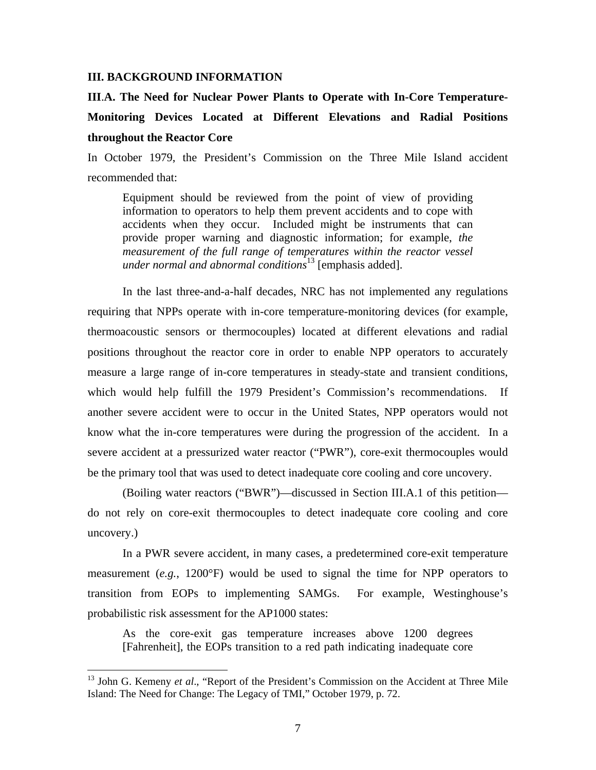#### **III. BACKGROUND INFORMATION**

# **III**.**A. The Need for Nuclear Power Plants to Operate with In-Core Temperature-Monitoring Devices Located at Different Elevations and Radial Positions throughout the Reactor Core**

In October 1979, the President's Commission on the Three Mile Island accident recommended that:

Equipment should be reviewed from the point of view of providing information to operators to help them prevent accidents and to cope with accidents when they occur. Included might be instruments that can provide proper warning and diagnostic information; for example, *the measurement of the full range of temperatures within the reactor vessel under normal and abnormal conditions*<sup>13</sup> [emphasis added].

In the last three-and-a-half decades, NRC has not implemented any regulations requiring that NPPs operate with in-core temperature-monitoring devices (for example, thermoacoustic sensors or thermocouples) located at different elevations and radial positions throughout the reactor core in order to enable NPP operators to accurately measure a large range of in-core temperatures in steady-state and transient conditions, which would help fulfill the 1979 President's Commission's recommendations. If another severe accident were to occur in the United States, NPP operators would not know what the in-core temperatures were during the progression of the accident. In a severe accident at a pressurized water reactor ("PWR"), core-exit thermocouples would be the primary tool that was used to detect inadequate core cooling and core uncovery.

(Boiling water reactors ("BWR")—discussed in Section III.A.1 of this petition do not rely on core-exit thermocouples to detect inadequate core cooling and core uncovery.)

In a PWR severe accident, in many cases, a predetermined core-exit temperature measurement (*e.g.*, 1200°F) would be used to signal the time for NPP operators to transition from EOPs to implementing SAMGs. For example, Westinghouse's probabilistic risk assessment for the AP1000 states:

As the core-exit gas temperature increases above 1200 degrees [Fahrenheit], the EOPs transition to a red path indicating inadequate core

<sup>&</sup>lt;sup>13</sup> John G. Kemeny *et al.*, "Report of the President's Commission on the Accident at Three Mile Island: The Need for Change: The Legacy of TMI," October 1979, p. 72.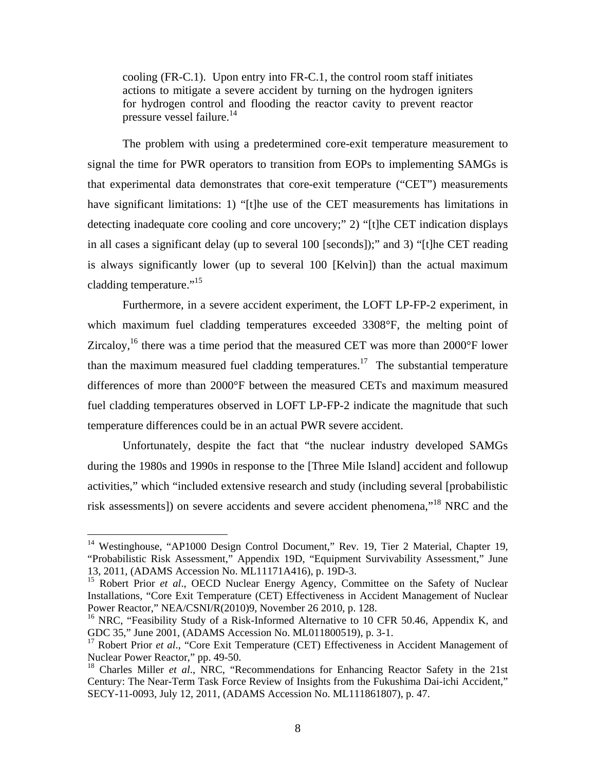cooling (FR-C.1). Upon entry into FR-C.1, the control room staff initiates actions to mitigate a severe accident by turning on the hydrogen igniters for hydrogen control and flooding the reactor cavity to prevent reactor pressure vessel failure.<sup>14</sup>

The problem with using a predetermined core-exit temperature measurement to signal the time for PWR operators to transition from EOPs to implementing SAMGs is that experimental data demonstrates that core-exit temperature ("CET") measurements have significant limitations: 1) "[t]he use of the CET measurements has limitations in detecting inadequate core cooling and core uncovery;" 2) "[t]he CET indication displays in all cases a significant delay (up to several 100 [seconds]);" and 3) "[t]he CET reading is always significantly lower (up to several 100 [Kelvin]) than the actual maximum cladding temperature."<sup>15</sup>

Furthermore, in a severe accident experiment, the LOFT LP-FP-2 experiment, in which maximum fuel cladding temperatures exceeded 3308°F, the melting point of Zircaloy,<sup>16</sup> there was a time period that the measured CET was more than 2000 $\degree$ F lower than the maximum measured fuel cladding temperatures.<sup>17</sup> The substantial temperature differences of more than 2000°F between the measured CETs and maximum measured fuel cladding temperatures observed in LOFT LP-FP-2 indicate the magnitude that such temperature differences could be in an actual PWR severe accident.

Unfortunately, despite the fact that "the nuclear industry developed SAMGs during the 1980s and 1990s in response to the [Three Mile Island] accident and followup activities," which "included extensive research and study (including several [probabilistic risk assessments]) on severe accidents and severe accident phenomena,"18 NRC and the

<sup>&</sup>lt;sup>14</sup> Westinghouse, "AP1000 Design Control Document," Rev. 19, Tier 2 Material, Chapter 19, "Probabilistic Risk Assessment," Appendix 19D, "Equipment Survivability Assessment," June 13, 2011, (ADAMS Accession No. ML11171A416), p. 19D-3.

<sup>&</sup>lt;sup>15</sup> Robert Prior *et al.*, OECD Nuclear Energy Agency, Committee on the Safety of Nuclear Installations, "Core Exit Temperature (CET) Effectiveness in Accident Management of Nuclear Power Reactor," NEA/CSNI/R(2010)9, November 26 2010, p. 128.

<sup>&</sup>lt;sup>16</sup> NRC, "Feasibility Study of a Risk-Informed Alternative to 10 CFR 50.46, Appendix K, and GDC 35," June 2001, (ADAMS Accession No. ML011800519), p. 3-1.

<sup>&</sup>lt;sup>17</sup> Robert Prior *et al.*, "Core Exit Temperature (CET) Effectiveness in Accident Management of Nuclear Power Reactor," pp. 49-50.

<sup>18</sup> Charles Miller *et al*., NRC, "Recommendations for Enhancing Reactor Safety in the 21st Century: The Near-Term Task Force Review of Insights from the Fukushima Dai-ichi Accident," SECY-11-0093, July 12, 2011, (ADAMS Accession No. ML111861807), p. 47.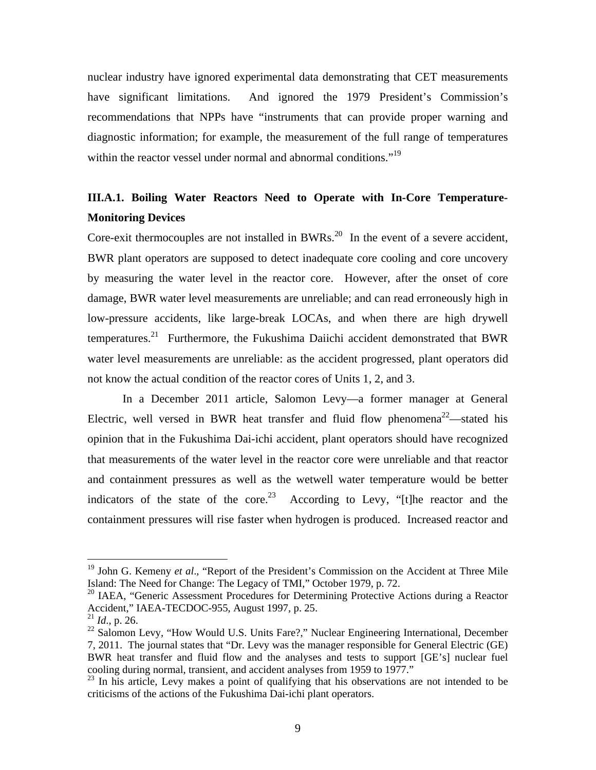nuclear industry have ignored experimental data demonstrating that CET measurements have significant limitations. And ignored the 1979 President's Commission's recommendations that NPPs have "instruments that can provide proper warning and diagnostic information; for example, the measurement of the full range of temperatures within the reactor vessel under normal and abnormal conditions."<sup>19</sup>

### **III.A.1. Boiling Water Reactors Need to Operate with In-Core Temperature-Monitoring Devices**

Core-exit thermocouples are not installed in BWRs.<sup>20</sup> In the event of a severe accident, BWR plant operators are supposed to detect inadequate core cooling and core uncovery by measuring the water level in the reactor core. However, after the onset of core damage, BWR water level measurements are unreliable; and can read erroneously high in low-pressure accidents, like large-break LOCAs, and when there are high drywell temperatures.<sup>21</sup> Furthermore, the Fukushima Daiichi accident demonstrated that BWR water level measurements are unreliable: as the accident progressed, plant operators did not know the actual condition of the reactor cores of Units 1, 2, and 3.

In a December 2011 article, Salomon Levy—a former manager at General Electric, well versed in BWR heat transfer and fluid flow phenomena<sup>22</sup>—stated his opinion that in the Fukushima Dai-ichi accident, plant operators should have recognized that measurements of the water level in the reactor core were unreliable and that reactor and containment pressures as well as the wetwell water temperature would be better indicators of the state of the core.<sup>23</sup> According to Levy, "[t]he reactor and the containment pressures will rise faster when hydrogen is produced. Increased reactor and

<sup>&</sup>lt;sup>19</sup> John G. Kemeny *et al.*, "Report of the President's Commission on the Accident at Three Mile Island: The Need for Change: The Legacy of TMI," October 1979, p. 72.

<sup>&</sup>lt;sup>20</sup> IAEA, "Generic Assessment Procedures for Determining Protective Actions during a Reactor Accident," IAEA-TECDOC-955, August 1997, p. 25.

<sup>21</sup> *Id*., p. 26.

 $^{22}$  Salomon Levy, "How Would U.S. Units Fare?," Nuclear Engineering International, December 7, 2011. The journal states that "Dr. Levy was the manager responsible for General Electric (GE) BWR heat transfer and fluid flow and the analyses and tests to support [GE's] nuclear fuel cooling during normal, transient, and accident analyses from 1959 to 1977."

<sup>&</sup>lt;sup>23</sup> In his article, Levy makes a point of qualifying that his observations are not intended to be criticisms of the actions of the Fukushima Dai-ichi plant operators.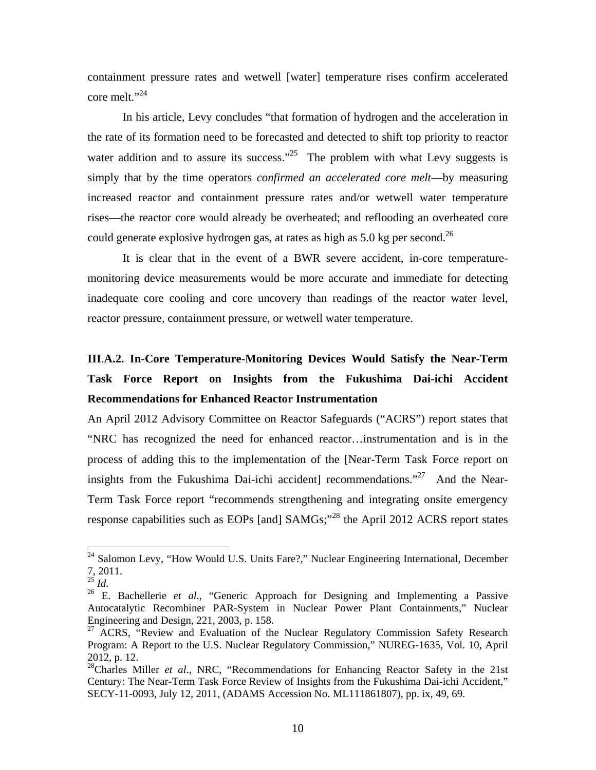containment pressure rates and wetwell [water] temperature rises confirm accelerated core melt."<sup>24</sup>

In his article, Levy concludes "that formation of hydrogen and the acceleration in the rate of its formation need to be forecasted and detected to shift top priority to reactor water addition and to assure its success."<sup>25</sup> The problem with what Levy suggests is simply that by the time operators *confirmed an accelerated core melt*—by measuring increased reactor and containment pressure rates and/or wetwell water temperature rises—the reactor core would already be overheated; and reflooding an overheated core could generate explosive hydrogen gas, at rates as high as  $5.0$  kg per second.<sup>26</sup>

It is clear that in the event of a BWR severe accident, in-core temperaturemonitoring device measurements would be more accurate and immediate for detecting inadequate core cooling and core uncovery than readings of the reactor water level, reactor pressure, containment pressure, or wetwell water temperature.

# **III**.**A.2. In-Core Temperature-Monitoring Devices Would Satisfy the Near-Term Task Force Report on Insights from the Fukushima Dai-ichi Accident Recommendations for Enhanced Reactor Instrumentation**

An April 2012 Advisory Committee on Reactor Safeguards ("ACRS") report states that "NRC has recognized the need for enhanced reactor…instrumentation and is in the process of adding this to the implementation of the [Near-Term Task Force report on insights from the Fukushima Dai-ichi accident] recommendations."<sup>27</sup> And the Near-Term Task Force report "recommends strengthening and integrating onsite emergency response capabilities such as EOPs [and] SAMGs;"28 the April 2012 ACRS report states

<sup>&</sup>lt;sup>24</sup> Salomon Levy, "How Would U.S. Units Fare?," Nuclear Engineering International, December  $\frac{7}{25}$ , 2011.

<sup>&</sup>lt;sup>26</sup> E. Bachellerie *et al.*, "Generic Approach for Designing and Implementing a Passive Autocatalytic Recombiner PAR-System in Nuclear Power Plant Containments," Nuclear Engineering and Design, 221, 2003, p. 158.

 $27$  ACRS, "Review and Evaluation of the Nuclear Regulatory Commission Safety Research Program: A Report to the U.S. Nuclear Regulatory Commission," NUREG-1635, Vol. 10, April 2012, p. 12.

<sup>&</sup>lt;sup>28</sup>Charles Miller *et al.*, NRC, "Recommendations for Enhancing Reactor Safety in the 21st Century: The Near-Term Task Force Review of Insights from the Fukushima Dai-ichi Accident," SECY-11-0093, July 12, 2011, (ADAMS Accession No. ML111861807), pp. ix, 49, 69.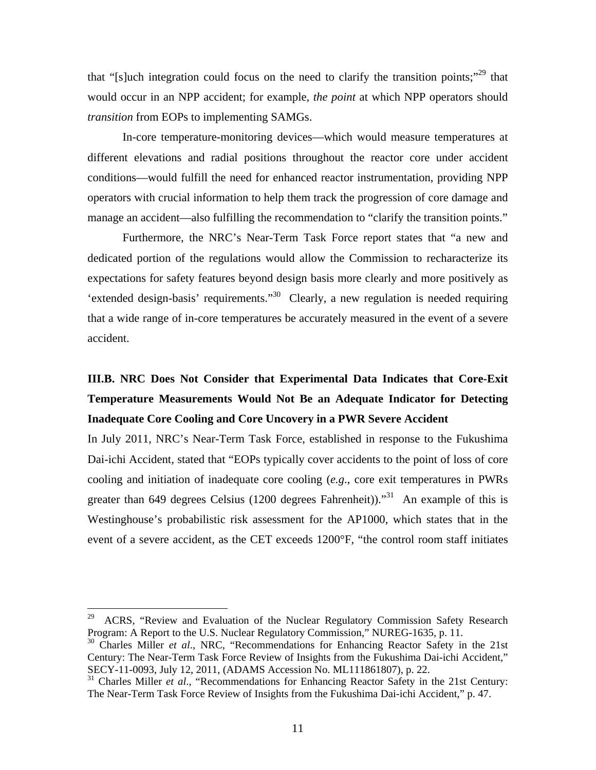that "[s]uch integration could focus on the need to clarify the transition points;"<sup>29</sup> that would occur in an NPP accident; for example, *the point* at which NPP operators should *transition* from EOPs to implementing SAMGs.

In-core temperature-monitoring devices—which would measure temperatures at different elevations and radial positions throughout the reactor core under accident conditions—would fulfill the need for enhanced reactor instrumentation, providing NPP operators with crucial information to help them track the progression of core damage and manage an accident—also fulfilling the recommendation to "clarify the transition points."

Furthermore, the NRC's Near-Term Task Force report states that "a new and dedicated portion of the regulations would allow the Commission to recharacterize its expectations for safety features beyond design basis more clearly and more positively as 'extended design-basis' requirements."30 Clearly, a new regulation is needed requiring that a wide range of in-core temperatures be accurately measured in the event of a severe accident.

## **III.B. NRC Does Not Consider that Experimental Data Indicates that Core-Exit Temperature Measurements Would Not Be an Adequate Indicator for Detecting Inadequate Core Cooling and Core Uncovery in a PWR Severe Accident**

In July 2011, NRC's Near-Term Task Force, established in response to the Fukushima Dai-ichi Accident, stated that "EOPs typically cover accidents to the point of loss of core cooling and initiation of inadequate core cooling (*e.g*., core exit temperatures in PWRs greater than 649 degrees Celsius (1200 degrees Fahrenheit)).<sup>31</sup> An example of this is Westinghouse's probabilistic risk assessment for the AP1000, which states that in the event of a severe accident, as the CET exceeds 1200°F, "the control room staff initiates

<sup>&</sup>lt;sup>29</sup> ACRS, "Review and Evaluation of the Nuclear Regulatory Commission Safety Research Program: A Report to the U.S. Nuclear Regulatory Commission," NUREG-1635, p. 11.

<sup>30</sup> Charles Miller *et al*., NRC, "Recommendations for Enhancing Reactor Safety in the 21st Century: The Near-Term Task Force Review of Insights from the Fukushima Dai-ichi Accident," SECY-11-0093, July 12, 2011, (ADAMS Accession No. ML111861807), p. 22.

<sup>&</sup>lt;sup>31</sup> Charles Miller *et al.*, "Recommendations for Enhancing Reactor Safety in the 21st Century: The Near-Term Task Force Review of Insights from the Fukushima Dai-ichi Accident," p. 47.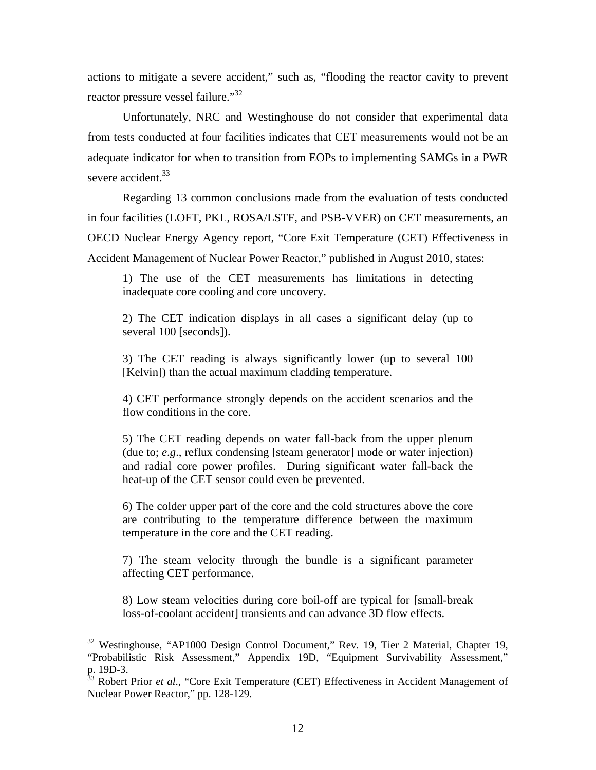actions to mitigate a severe accident," such as, "flooding the reactor cavity to prevent reactor pressure vessel failure."<sup>32</sup>

Unfortunately, NRC and Westinghouse do not consider that experimental data from tests conducted at four facilities indicates that CET measurements would not be an adequate indicator for when to transition from EOPs to implementing SAMGs in a PWR severe accident.<sup>33</sup>

Regarding 13 common conclusions made from the evaluation of tests conducted in four facilities (LOFT, PKL, ROSA/LSTF, and PSB-VVER) on CET measurements, an OECD Nuclear Energy Agency report, "Core Exit Temperature (CET) Effectiveness in Accident Management of Nuclear Power Reactor," published in August 2010, states:

1) The use of the CET measurements has limitations in detecting inadequate core cooling and core uncovery.

2) The CET indication displays in all cases a significant delay (up to several 100 [seconds]).

3) The CET reading is always significantly lower (up to several 100 [Kelvin]) than the actual maximum cladding temperature.

4) CET performance strongly depends on the accident scenarios and the flow conditions in the core.

5) The CET reading depends on water fall-back from the upper plenum (due to; *e*.*g*., reflux condensing [steam generator] mode or water injection) and radial core power profiles. During significant water fall-back the heat-up of the CET sensor could even be prevented.

6) The colder upper part of the core and the cold structures above the core are contributing to the temperature difference between the maximum temperature in the core and the CET reading.

7) The steam velocity through the bundle is a significant parameter affecting CET performance.

8) Low steam velocities during core boil-off are typical for [small-break loss-of-coolant accident] transients and can advance 3D flow effects.

<sup>&</sup>lt;sup>32</sup> Westinghouse, "AP1000 Design Control Document," Rev. 19, Tier 2 Material, Chapter 19, "Probabilistic Risk Assessment," Appendix 19D, "Equipment Survivability Assessment," p. 19D-3.

<sup>&</sup>lt;sup>33</sup> Robert Prior *et al.*, "Core Exit Temperature (CET) Effectiveness in Accident Management of Nuclear Power Reactor," pp. 128-129.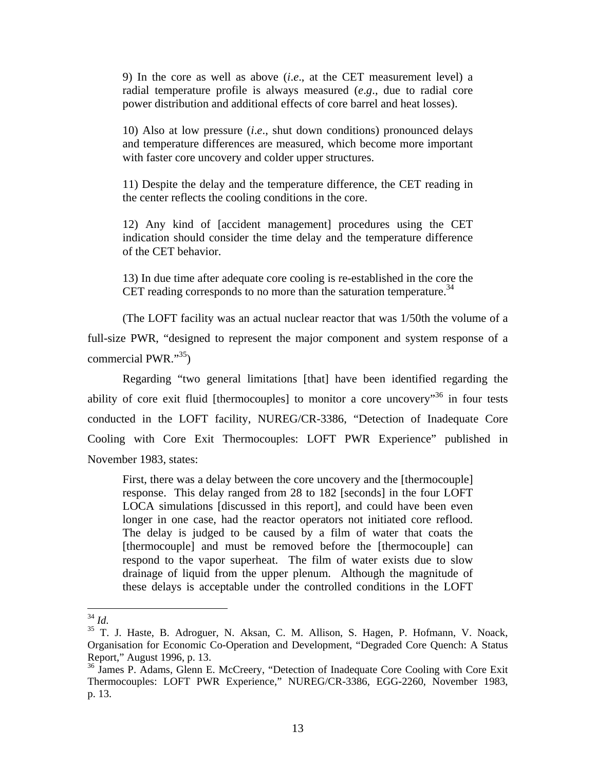9) In the core as well as above (*i*.*e*., at the CET measurement level) a radial temperature profile is always measured (*e*.*g*., due to radial core power distribution and additional effects of core barrel and heat losses).

10) Also at low pressure (*i*.*e*., shut down conditions) pronounced delays and temperature differences are measured, which become more important with faster core uncovery and colder upper structures.

11) Despite the delay and the temperature difference, the CET reading in the center reflects the cooling conditions in the core.

12) Any kind of [accident management] procedures using the CET indication should consider the time delay and the temperature difference of the CET behavior.

13) In due time after adequate core cooling is re-established in the core the CET reading corresponds to no more than the saturation temperature.<sup>34</sup>

(The LOFT facility was an actual nuclear reactor that was 1/50th the volume of a full-size PWR, "designed to represent the major component and system response of a commercial PWR. $\cdot$ <sup>35</sup>)

Regarding "two general limitations [that] have been identified regarding the ability of core exit fluid [thermocouples] to monitor a core uncovery<sup>36</sup> in four tests conducted in the LOFT facility, NUREG/CR-3386, "Detection of Inadequate Core Cooling with Core Exit Thermocouples: LOFT PWR Experience" published in November 1983, states:

First, there was a delay between the core uncovery and the [thermocouple] response. This delay ranged from 28 to 182 [seconds] in the four LOFT LOCA simulations [discussed in this report], and could have been even longer in one case, had the reactor operators not initiated core reflood. The delay is judged to be caused by a film of water that coats the [thermocouple] and must be removed before the [thermocouple] can respond to the vapor superheat. The film of water exists due to slow drainage of liquid from the upper plenum. Although the magnitude of these delays is acceptable under the controlled conditions in the LOFT

<sup>&</sup>lt;sup>34</sup> *Id.* 35 T. J. Haste, B. Adroguer, N. Aksan, C. M. Allison, S. Hagen, P. Hofmann, V. Noack, Organisation for Economic Co-Operation and Development, "Degraded Core Quench: A Status Report," August 1996, p. 13.

<sup>&</sup>lt;sup>36</sup> James P. Adams, Glenn E. McCreery, "Detection of Inadequate Core Cooling with Core Exit Thermocouples: LOFT PWR Experience," NUREG/CR-3386, EGG-2260, November 1983, p. 13.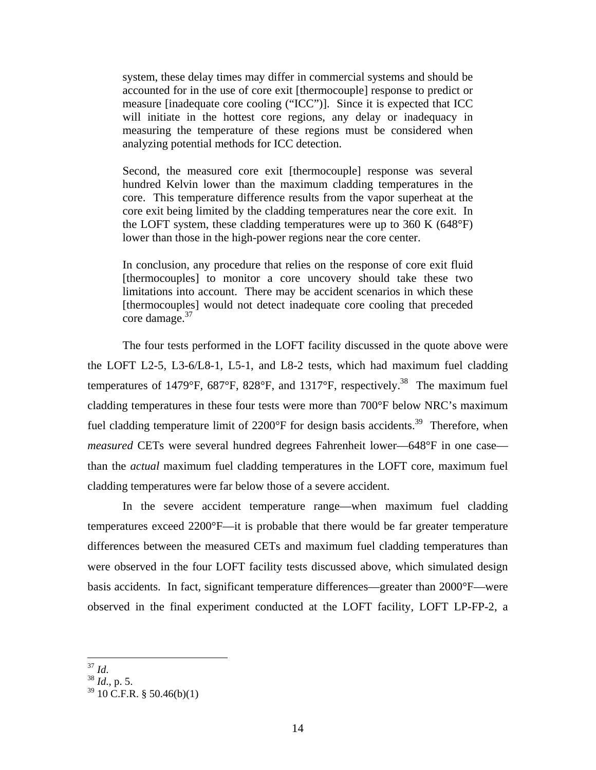system, these delay times may differ in commercial systems and should be accounted for in the use of core exit [thermocouple] response to predict or measure [inadequate core cooling ("ICC")]. Since it is expected that ICC will initiate in the hottest core regions, any delay or inadequacy in measuring the temperature of these regions must be considered when analyzing potential methods for ICC detection.

Second, the measured core exit [thermocouple] response was several hundred Kelvin lower than the maximum cladding temperatures in the core. This temperature difference results from the vapor superheat at the core exit being limited by the cladding temperatures near the core exit. In the LOFT system, these cladding temperatures were up to 360 K (648°F) lower than those in the high-power regions near the core center.

In conclusion, any procedure that relies on the response of core exit fluid [thermocouples] to monitor a core uncovery should take these two limitations into account. There may be accident scenarios in which these [thermocouples] would not detect inadequate core cooling that preceded core damage.<sup>37</sup>

The four tests performed in the LOFT facility discussed in the quote above were the LOFT L2-5, L3-6/L8-1, L5-1, and L8-2 tests, which had maximum fuel cladding temperatures of 1479°F, 687°F, 828°F, and 1317°F, respectively.<sup>38</sup> The maximum fuel cladding temperatures in these four tests were more than 700°F below NRC's maximum fuel cladding temperature limit of  $2200^{\circ}$ F for design basis accidents.<sup>39</sup> Therefore, when *measured* CETs were several hundred degrees Fahrenheit lower—648°F in one case than the *actual* maximum fuel cladding temperatures in the LOFT core, maximum fuel cladding temperatures were far below those of a severe accident.

In the severe accident temperature range—when maximum fuel cladding temperatures exceed 2200°F—it is probable that there would be far greater temperature differences between the measured CETs and maximum fuel cladding temperatures than were observed in the four LOFT facility tests discussed above, which simulated design basis accidents. In fact, significant temperature differences—greater than 2000°F—were observed in the final experiment conducted at the LOFT facility, LOFT LP-FP-2, a

 $37$  Id.

<sup>37</sup> *Id*. 38 *Id*., p. 5.

 $39\,10\,$  C.F.R. § 50.46(b)(1)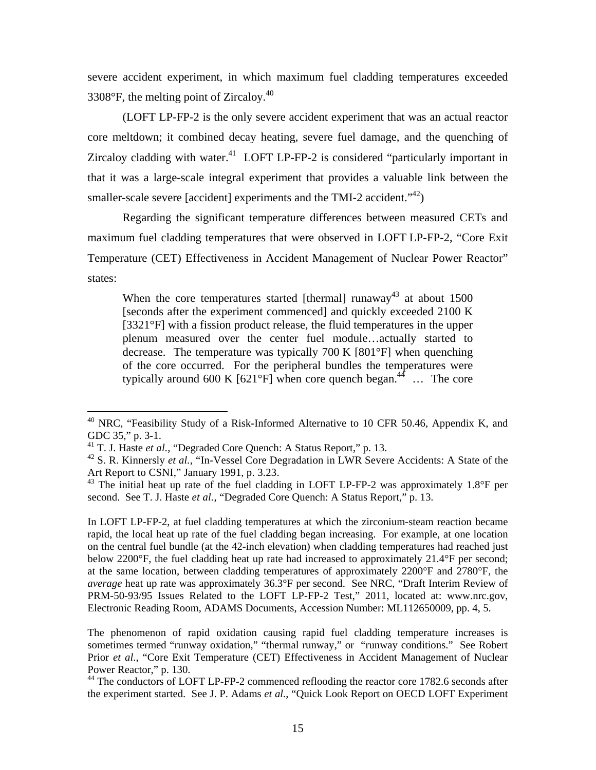severe accident experiment, in which maximum fuel cladding temperatures exceeded 3308 $\degree$ F, the melting point of Zircaloy.<sup>40</sup>

(LOFT LP-FP-2 is the only severe accident experiment that was an actual reactor core meltdown; it combined decay heating, severe fuel damage, and the quenching of Zircaloy cladding with water. $41$  LOFT LP-FP-2 is considered "particularly important in that it was a large-scale integral experiment that provides a valuable link between the smaller-scale severe [accident] experiments and the TMI-2 accident. $142$ )

Regarding the significant temperature differences between measured CETs and maximum fuel cladding temperatures that were observed in LOFT LP-FP-2, "Core Exit Temperature (CET) Effectiveness in Accident Management of Nuclear Power Reactor" states:

When the core temperatures started [thermal] runaway<sup>43</sup> at about 1500 [seconds after the experiment commenced] and quickly exceeded 2100 K [3321°F] with a fission product release, the fluid temperatures in the upper plenum measured over the center fuel module…actually started to decrease. The temperature was typically 700 K [801°F] when quenching of the core occurred. For the peripheral bundles the temperatures were typically around 600 K  $[621^{\circ}F]$  when core quench began.<sup>44</sup> … The core

 $\overline{a}$ 

In LOFT LP-FP-2, at fuel cladding temperatures at which the zirconium-steam reaction became rapid, the local heat up rate of the fuel cladding began increasing. For example, at one location on the central fuel bundle (at the 42-inch elevation) when cladding temperatures had reached just below 2200°F, the fuel cladding heat up rate had increased to approximately 21.4°F per second; at the same location, between cladding temperatures of approximately 2200°F and 2780°F, the *average* heat up rate was approximately 36.3°F per second. See NRC, "Draft Interim Review of PRM-50-93/95 Issues Related to the LOFT LP-FP-2 Test," 2011, located at: www.nrc.gov, Electronic Reading Room, ADAMS Documents, Accession Number: ML112650009, pp. 4, 5.

The phenomenon of rapid oxidation causing rapid fuel cladding temperature increases is sometimes termed "runway oxidation," "thermal runway," or "runway conditions." See Robert Prior *et al.*, "Core Exit Temperature (CET) Effectiveness in Accident Management of Nuclear Power Reactor," p. 130.

<sup>&</sup>lt;sup>40</sup> NRC, "Feasibility Study of a Risk-Informed Alternative to 10 CFR 50.46, Appendix K, and GDC 35," p. 3-1.

<sup>41</sup> T. J. Haste *et al.*, "Degraded Core Quench: A Status Report," p. 13.

<sup>&</sup>lt;sup>42</sup> S. R. Kinnersly *et al.*, "In-Vessel Core Degradation in LWR Severe Accidents: A State of the Art Report to CSNI," January 1991, p. 3.23.

<sup>&</sup>lt;sup>43</sup> The initial heat up rate of the fuel cladding in LOFT LP-FP-2 was approximately 1.8°F per second. See T. J. Haste *et al.*, "Degraded Core Quench: A Status Report," p. 13.

<sup>&</sup>lt;sup>44</sup> The conductors of LOFT LP-FP-2 commenced reflooding the reactor core 1782.6 seconds after the experiment started. See J. P. Adams *et al.*, "Quick Look Report on OECD LOFT Experiment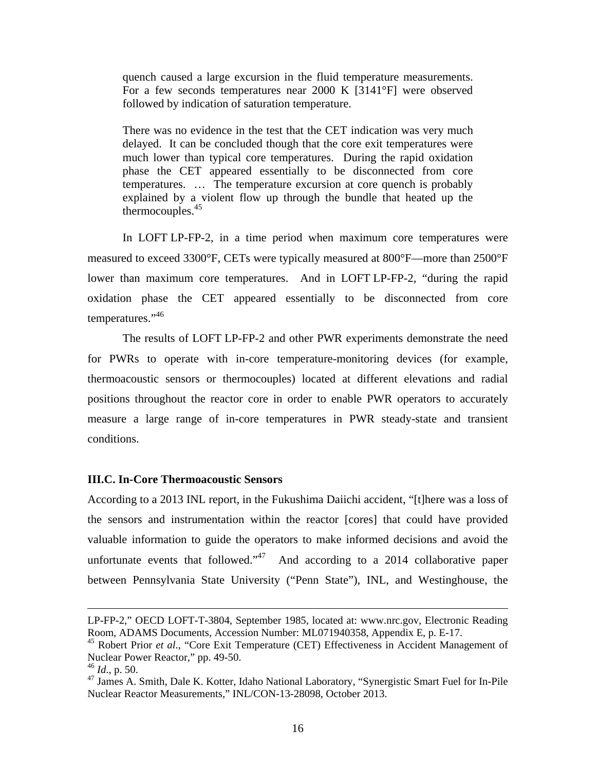quench caused a large excursion in the fluid temperature measurements. For a few seconds temperatures near 2000 K [3141°F] were observed followed by indication of saturation temperature.

There was no evidence in the test that the CET indication was very much delayed. It can be concluded though that the core exit temperatures were much lower than typical core temperatures. During the rapid oxidation phase the CET appeared essentially to be disconnected from core temperatures. … The temperature excursion at core quench is probably explained by a violent flow up through the bundle that heated up the thermocouples. $45$ 

In LOFT LP-FP-2, in a time period when maximum core temperatures were measured to exceed 3300°F, CETs were typically measured at 800°F—more than 2500°F lower than maximum core temperatures. And in LOFT LP-FP-2, "during the rapid oxidation phase the CET appeared essentially to be disconnected from core temperatures."46

The results of LOFT LP-FP-2 and other PWR experiments demonstrate the need for PWRs to operate with in-core temperature-monitoring devices (for example, thermoacoustic sensors or thermocouples) located at different elevations and radial positions throughout the reactor core in order to enable PWR operators to accurately measure a large range of in-core temperatures in PWR steady-state and transient conditions.

#### **III.C. In-Core Thermoacoustic Sensors**

According to a 2013 INL report, in the Fukushima Daiichi accident, "[t]here was a loss of the sensors and instrumentation within the reactor [cores] that could have provided valuable information to guide the operators to make informed decisions and avoid the unfortunate events that followed."<sup>47</sup> And according to a 2014 collaborative paper between Pennsylvania State University ("Penn State"), INL, and Westinghouse, the

LP-FP-2," OECD LOFT-T-3804, September 1985, located at: www.nrc.gov, Electronic Reading Room, ADAMS Documents, Accession Number: ML071940358, Appendix E, p. E-17.

<sup>&</sup>lt;sup>45</sup> Robert Prior *et al.*, "Core Exit Temperature (CET) Effectiveness in Accident Management of Nuclear Power Reactor," pp. 49-50.

<sup>46</sup> *Id*., p. 50.

<sup>&</sup>lt;sup>47</sup> James A. Smith, Dale K. Kotter, Idaho National Laboratory, "Synergistic Smart Fuel for In-Pile Nuclear Reactor Measurements," INL/CON-13-28098, October 2013.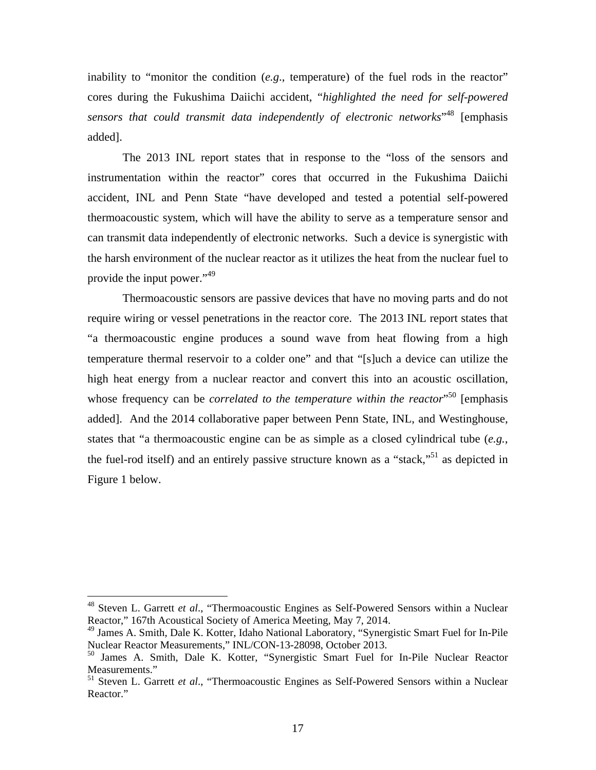inability to "monitor the condition (*e.g*., temperature) of the fuel rods in the reactor" cores during the Fukushima Daiichi accident, "*highlighted the need for self-powered sensors that could transmit data independently of electronic networks*" 48 [emphasis added].

The 2013 INL report states that in response to the "loss of the sensors and instrumentation within the reactor" cores that occurred in the Fukushima Daiichi accident, INL and Penn State "have developed and tested a potential self-powered thermoacoustic system, which will have the ability to serve as a temperature sensor and can transmit data independently of electronic networks. Such a device is synergistic with the harsh environment of the nuclear reactor as it utilizes the heat from the nuclear fuel to provide the input power."49

Thermoacoustic sensors are passive devices that have no moving parts and do not require wiring or vessel penetrations in the reactor core. The 2013 INL report states that "a thermoacoustic engine produces a sound wave from heat flowing from a high temperature thermal reservoir to a colder one" and that "[s]uch a device can utilize the high heat energy from a nuclear reactor and convert this into an acoustic oscillation, whose frequency can be *correlated to the temperature within the reactor*<sup>550</sup> [emphasis added]. And the 2014 collaborative paper between Penn State, INL, and Westinghouse, states that "a thermoacoustic engine can be as simple as a closed cylindrical tube (*e.g.*, the fuel-rod itself) and an entirely passive structure known as a "stack,"<sup>51</sup> as depicted in Figure 1 below.

<sup>48</sup> Steven L. Garrett *et al*., "Thermoacoustic Engines as Self-Powered Sensors within a Nuclear Reactor," 167th Acoustical Society of America Meeting, May 7, 2014.

<sup>&</sup>lt;sup>49</sup> James A. Smith, Dale K. Kotter, Idaho National Laboratory, "Synergistic Smart Fuel for In-Pile Nuclear Reactor Measurements," INL/CON-13-28098, October 2013.

<sup>50</sup> James A. Smith, Dale K. Kotter, "Synergistic Smart Fuel for In-Pile Nuclear Reactor Measurements."

<sup>51</sup> Steven L. Garrett *et al*., "Thermoacoustic Engines as Self-Powered Sensors within a Nuclear Reactor."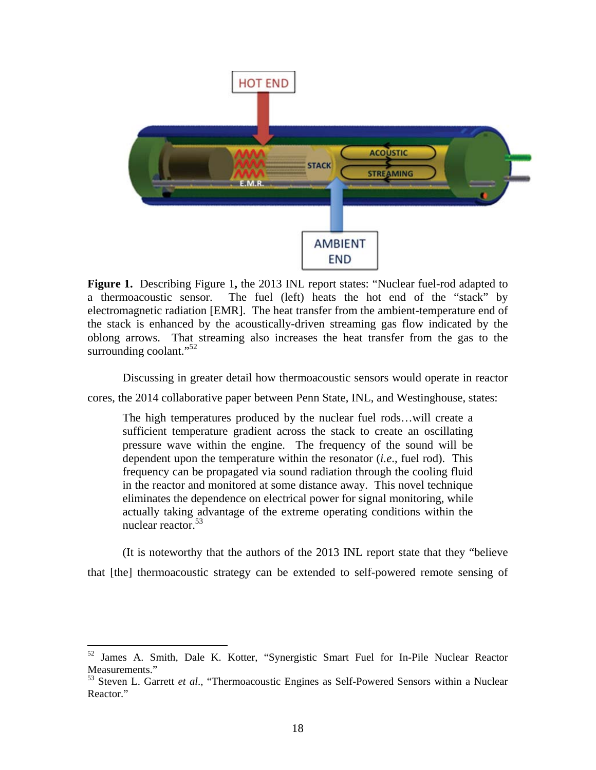

**Figure 1.** Describing Figure 1**,** the 2013 INL report states: "Nuclear fuel-rod adapted to a thermoacoustic sensor. The fuel (left) heats the hot end of the "stack" by electromagnetic radiation [EMR]. The heat transfer from the ambient-temperature end of the stack is enhanced by the acoustically-driven streaming gas flow indicated by the oblong arrows. That streaming also increases the heat transfer from the gas to the surrounding coolant."<sup>52</sup>

Discussing in greater detail how thermoacoustic sensors would operate in reactor

cores, the 2014 collaborative paper between Penn State, INL, and Westinghouse, states:

The high temperatures produced by the nuclear fuel rods…will create a sufficient temperature gradient across the stack to create an oscillating pressure wave within the engine. The frequency of the sound will be dependent upon the temperature within the resonator (*i.e*., fuel rod). This frequency can be propagated via sound radiation through the cooling fluid in the reactor and monitored at some distance away. This novel technique eliminates the dependence on electrical power for signal monitoring, while actually taking advantage of the extreme operating conditions within the nuclear reactor.<sup>53</sup>

(It is noteworthy that the authors of the 2013 INL report state that they "believe that [the] thermoacoustic strategy can be extended to self-powered remote sensing of

<sup>&</sup>lt;sup>52</sup> James A. Smith, Dale K. Kotter, "Synergistic Smart Fuel for In-Pile Nuclear Reactor Measurements."

<sup>53</sup> Steven L. Garrett *et al*., "Thermoacoustic Engines as Self-Powered Sensors within a Nuclear Reactor."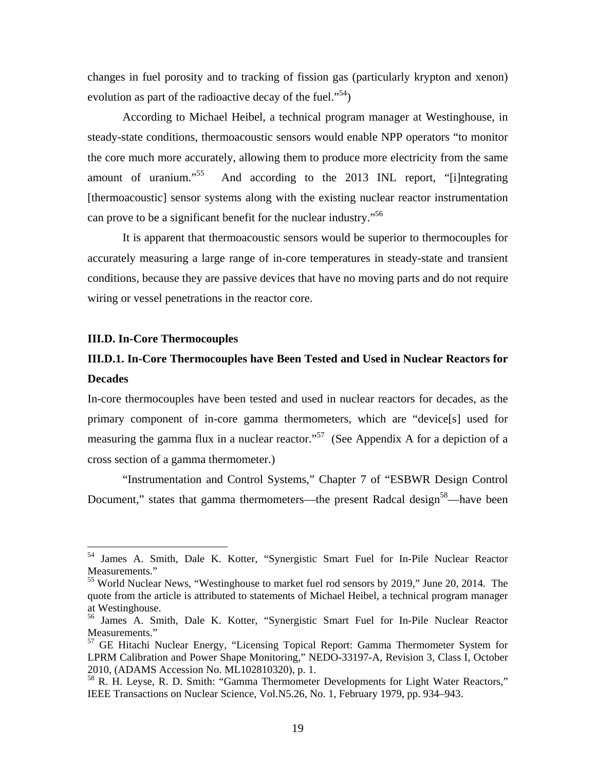changes in fuel porosity and to tracking of fission gas (particularly krypton and xenon) evolution as part of the radioactive decay of the fuel."<sup>54</sup>)

According to Michael Heibel, a technical program manager at Westinghouse, in steady-state conditions, thermoacoustic sensors would enable NPP operators "to monitor the core much more accurately, allowing them to produce more electricity from the same amount of uranium."55 And according to the 2013 INL report, "[i]ntegrating [thermoacoustic] sensor systems along with the existing nuclear reactor instrumentation can prove to be a significant benefit for the nuclear industry.<sup>556</sup>

It is apparent that thermoacoustic sensors would be superior to thermocouples for accurately measuring a large range of in-core temperatures in steady-state and transient conditions, because they are passive devices that have no moving parts and do not require wiring or vessel penetrations in the reactor core.

#### **III.D. In-Core Thermocouples**

 $\overline{a}$ 

### **III.D.1. In-Core Thermocouples have Been Tested and Used in Nuclear Reactors for Decades**

In-core thermocouples have been tested and used in nuclear reactors for decades, as the primary component of in-core gamma thermometers, which are "device[s] used for measuring the gamma flux in a nuclear reactor."<sup>57</sup> (See Appendix A for a depiction of a cross section of a gamma thermometer.)

"Instrumentation and Control Systems," Chapter 7 of "ESBWR Design Control Document," states that gamma thermometers—the present Radcal design<sup>58</sup>—have been

<sup>54</sup> James A. Smith, Dale K. Kotter, "Synergistic Smart Fuel for In-Pile Nuclear Reactor Measurements."

<sup>&</sup>lt;sup>55</sup> World Nuclear News, "Westinghouse to market fuel rod sensors by 2019," June 20, 2014. The quote from the article is attributed to statements of Michael Heibel, a technical program manager at Westinghouse.

<sup>56</sup> James A. Smith, Dale K. Kotter, "Synergistic Smart Fuel for In-Pile Nuclear Reactor Measurements."

<sup>&</sup>lt;sup>57</sup> GE Hitachi Nuclear Energy, "Licensing Topical Report: Gamma Thermometer System for LPRM Calibration and Power Shape Monitoring," NEDO-33197-A, Revision 3, Class I, October 2010, (ADAMS Accession No. ML102810320), p. 1.

<sup>58</sup> R. H. Leyse, R. D. Smith: "Gamma Thermometer Developments for Light Water Reactors," IEEE Transactions on Nuclear Science, Vol.N5.26, No. 1, February 1979, pp. 934–943.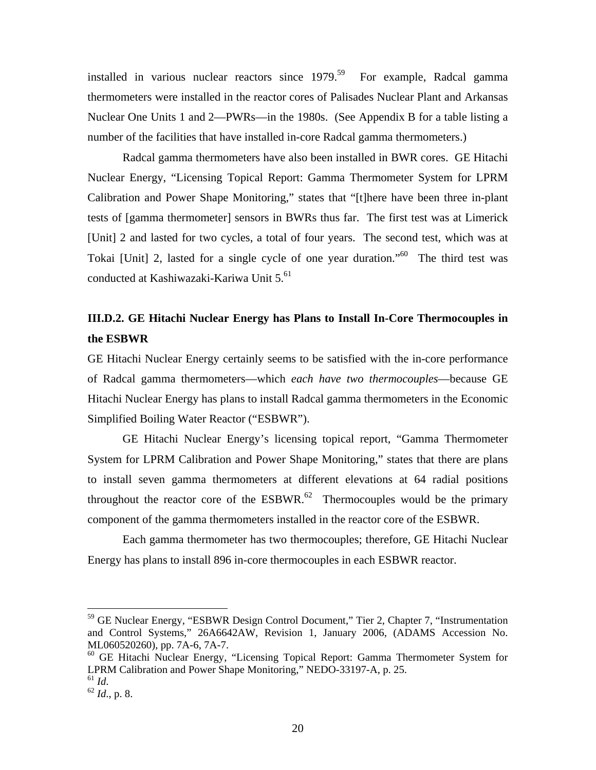installed in various nuclear reactors since  $1979$ .<sup>59</sup> For example, Radcal gamma thermometers were installed in the reactor cores of Palisades Nuclear Plant and Arkansas Nuclear One Units 1 and 2—PWRs—in the 1980s. (See Appendix B for a table listing a number of the facilities that have installed in-core Radcal gamma thermometers.)

Radcal gamma thermometers have also been installed in BWR cores. GE Hitachi Nuclear Energy, "Licensing Topical Report: Gamma Thermometer System for LPRM Calibration and Power Shape Monitoring," states that "[t]here have been three in-plant tests of [gamma thermometer] sensors in BWRs thus far. The first test was at Limerick [Unit] 2 and lasted for two cycles, a total of four years. The second test, which was at Tokai [Unit] 2, lasted for a single cycle of one year duration."60 The third test was conducted at Kashiwazaki-Kariwa Unit 5.<sup>61</sup>

## **III.D.2. GE Hitachi Nuclear Energy has Plans to Install In-Core Thermocouples in the ESBWR**

GE Hitachi Nuclear Energy certainly seems to be satisfied with the in-core performance of Radcal gamma thermometers—which *each have two thermocouples*—because GE Hitachi Nuclear Energy has plans to install Radcal gamma thermometers in the Economic Simplified Boiling Water Reactor ("ESBWR").

GE Hitachi Nuclear Energy's licensing topical report, "Gamma Thermometer System for LPRM Calibration and Power Shape Monitoring," states that there are plans to install seven gamma thermometers at different elevations at 64 radial positions throughout the reactor core of the  $ESBWR$ <sup>62</sup> Thermocouples would be the primary component of the gamma thermometers installed in the reactor core of the ESBWR.

Each gamma thermometer has two thermocouples; therefore, GE Hitachi Nuclear Energy has plans to install 896 in-core thermocouples in each ESBWR reactor.

1

<sup>&</sup>lt;sup>59</sup> GE Nuclear Energy, "ESBWR Design Control Document," Tier 2, Chapter 7, "Instrumentation and Control Systems," 26A6642AW, Revision 1, January 2006, (ADAMS Accession No. ML060520260), pp. 7A-6, 7A-7.

<sup>60</sup> GE Hitachi Nuclear Energy, "Licensing Topical Report: Gamma Thermometer System for LPRM Calibration and Power Shape Monitoring," NEDO-33197-A, p. 25.

<sup>61</sup> *Id*. 62 *Id*., p. 8.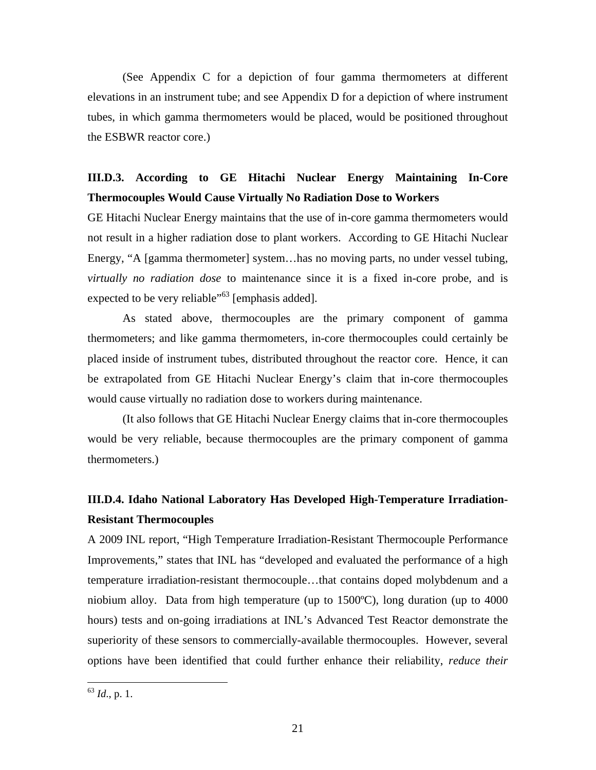(See Appendix C for a depiction of four gamma thermometers at different elevations in an instrument tube; and see Appendix D for a depiction of where instrument tubes, in which gamma thermometers would be placed, would be positioned throughout the ESBWR reactor core.)

### **III.D.3. According to GE Hitachi Nuclear Energy Maintaining In-Core Thermocouples Would Cause Virtually No Radiation Dose to Workers**

GE Hitachi Nuclear Energy maintains that the use of in-core gamma thermometers would not result in a higher radiation dose to plant workers. According to GE Hitachi Nuclear Energy, "A [gamma thermometer] system…has no moving parts, no under vessel tubing, *virtually no radiation dose* to maintenance since it is a fixed in-core probe, and is expected to be very reliable"<sup>63</sup> [emphasis added].

As stated above, thermocouples are the primary component of gamma thermometers; and like gamma thermometers, in-core thermocouples could certainly be placed inside of instrument tubes, distributed throughout the reactor core. Hence, it can be extrapolated from GE Hitachi Nuclear Energy's claim that in-core thermocouples would cause virtually no radiation dose to workers during maintenance.

(It also follows that GE Hitachi Nuclear Energy claims that in-core thermocouples would be very reliable, because thermocouples are the primary component of gamma thermometers.)

## **III.D.4. Idaho National Laboratory Has Developed High-Temperature Irradiation-Resistant Thermocouples**

A 2009 INL report, "High Temperature Irradiation-Resistant Thermocouple Performance Improvements," states that INL has "developed and evaluated the performance of a high temperature irradiation-resistant thermocouple…that contains doped molybdenum and a niobium alloy. Data from high temperature (up to 1500ºC), long duration (up to 4000 hours) tests and on-going irradiations at INL's Advanced Test Reactor demonstrate the superiority of these sensors to commercially-available thermocouples. However, several options have been identified that could further enhance their reliability, *reduce their* 

<sup>63</sup> *Id*., p. 1.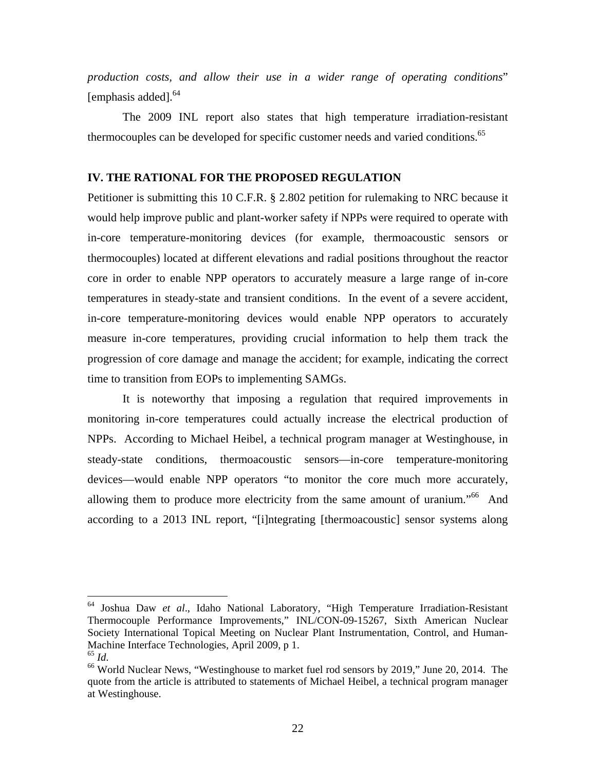*production costs, and allow their use in a wider range of operating conditions*" [emphasis added].<sup>64</sup>

The 2009 INL report also states that high temperature irradiation-resistant thermocouples can be developed for specific customer needs and varied conditions.<sup>65</sup>

#### **IV. THE RATIONAL FOR THE PROPOSED REGULATION**

Petitioner is submitting this 10 C.F.R. § 2.802 petition for rulemaking to NRC because it would help improve public and plant-worker safety if NPPs were required to operate with in-core temperature-monitoring devices (for example, thermoacoustic sensors or thermocouples) located at different elevations and radial positions throughout the reactor core in order to enable NPP operators to accurately measure a large range of in-core temperatures in steady-state and transient conditions. In the event of a severe accident, in-core temperature-monitoring devices would enable NPP operators to accurately measure in-core temperatures, providing crucial information to help them track the progression of core damage and manage the accident; for example, indicating the correct time to transition from EOPs to implementing SAMGs.

It is noteworthy that imposing a regulation that required improvements in monitoring in-core temperatures could actually increase the electrical production of NPPs. According to Michael Heibel, a technical program manager at Westinghouse, in steady-state conditions, thermoacoustic sensors—in-core temperature-monitoring devices—would enable NPP operators "to monitor the core much more accurately, allowing them to produce more electricity from the same amount of uranium.<sup>566</sup> And according to a 2013 INL report, "[i]ntegrating [thermoacoustic] sensor systems along

1

<sup>64</sup> Joshua Daw *et al*., Idaho National Laboratory, "High Temperature Irradiation-Resistant Thermocouple Performance Improvements," INL/CON-09-15267, Sixth American Nuclear Society International Topical Meeting on Nuclear Plant Instrumentation, Control, and Human-Machine Interface Technologies, April 2009, p 1.

<sup>&</sup>lt;sup>66</sup> World Nuclear News, "Westinghouse to market fuel rod sensors by 2019," June 20, 2014. The quote from the article is attributed to statements of Michael Heibel, a technical program manager at Westinghouse.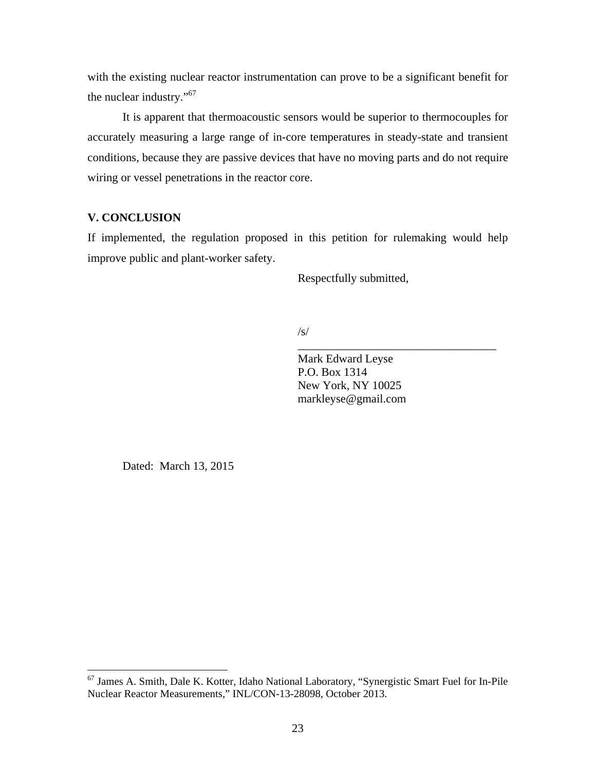with the existing nuclear reactor instrumentation can prove to be a significant benefit for the nuclear industry."<sup>67</sup>

It is apparent that thermoacoustic sensors would be superior to thermocouples for accurately measuring a large range of in-core temperatures in steady-state and transient conditions, because they are passive devices that have no moving parts and do not require wiring or vessel penetrations in the reactor core.

#### **V. CONCLUSION**

If implemented, the regulation proposed in this petition for rulemaking would help improve public and plant-worker safety.

Respectfully submitted,

#### $\sqrt{s}$

Mark Edward Leyse P.O. Box 1314 New York, NY 10025 markleyse@gmail.com

\_\_\_\_\_\_\_\_\_\_\_\_\_\_\_\_\_\_\_\_\_\_\_\_\_\_\_\_\_\_\_\_\_\_

Dated: March 13, 2015

<sup>&</sup>lt;sup>67</sup> James A. Smith, Dale K. Kotter, Idaho National Laboratory, "Synergistic Smart Fuel for In-Pile Nuclear Reactor Measurements," INL/CON-13-28098, October 2013.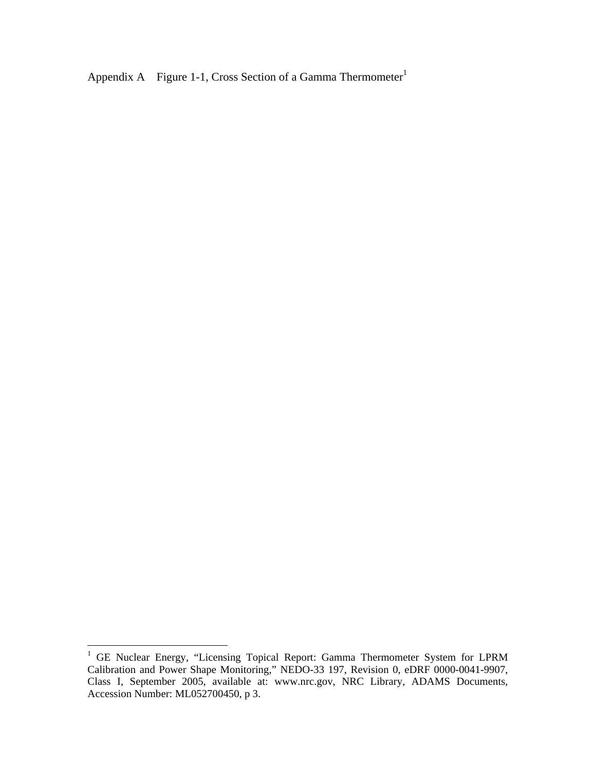Appendix A Figure 1-1, Cross Section of a Gamma Thermometer<sup>1</sup>

<sup>&</sup>lt;sup>1</sup> GE Nuclear Energy, "Licensing Topical Report: Gamma Thermometer System for LPRM Calibration and Power Shape Monitoring," NEDO-33 197, Revision 0, eDRF 0000-0041-9907, Class I, September 2005, available at: www.nrc.gov, NRC Library, ADAMS Documents, Accession Number: ML052700450, p 3.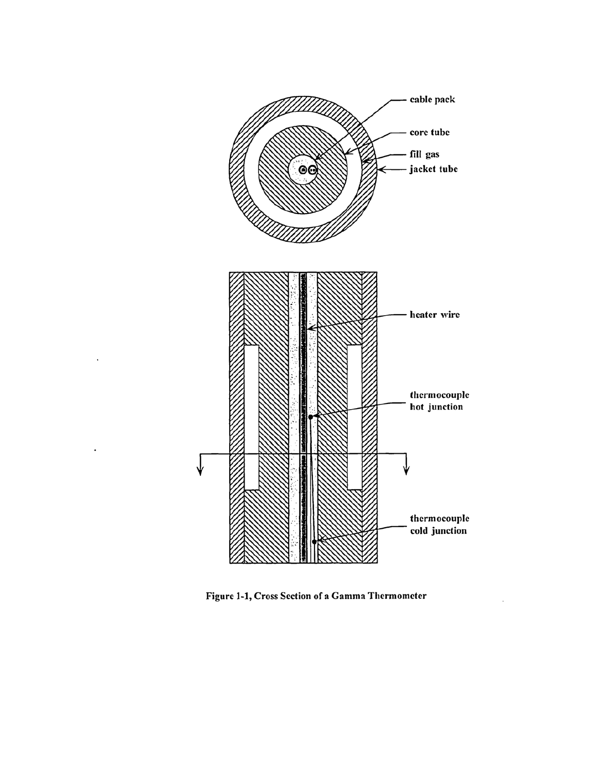

Figure 1-1, Cross Section of a Gamma Thermometer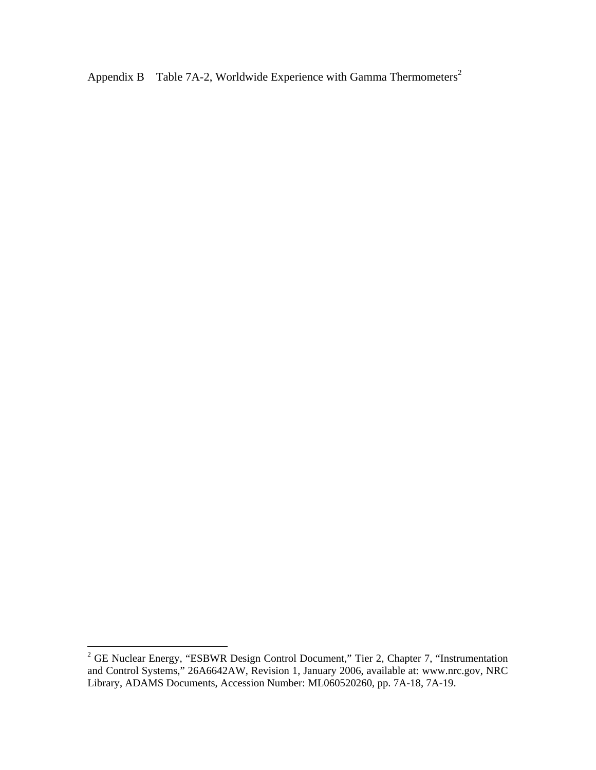Appendix B Table 7A-2, Worldwide Experience with Gamma Thermometers<sup>2</sup>

<sup>&</sup>lt;sup>2</sup> GE Nuclear Energy, "ESBWR Design Control Document," Tier 2, Chapter 7, "Instrumentation and Control Systems," 26A6642AW, Revision 1, January 2006, available at: www.nrc.gov, NRC Library, ADAMS Documents, Accession Number: ML060520260, pp. 7A-18, 7A-19.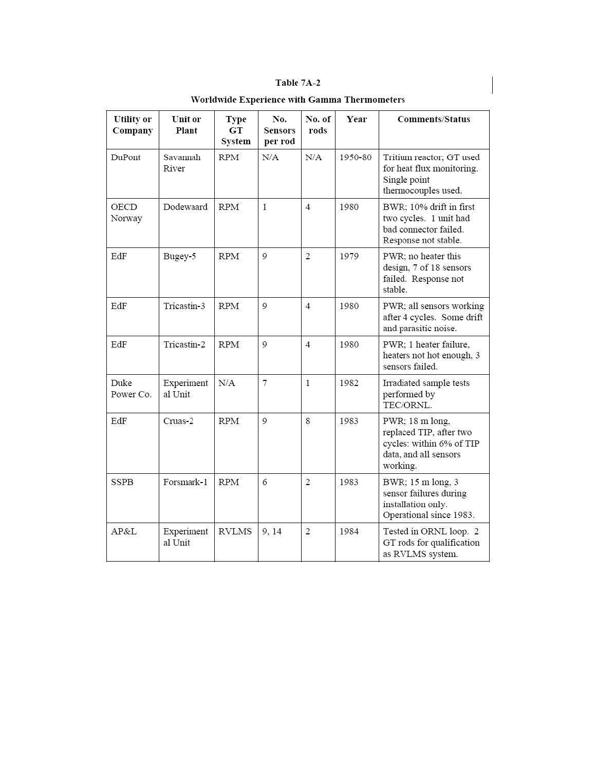|--|

| <b>Utility</b> or<br>Company | Unit or<br>Plant      | <b>Type</b><br><b>GT</b><br>System | No.<br>Sensors<br>per rod | No. of<br>rods | Year    | <b>Comments/Status</b>                                                                                      |
|------------------------------|-----------------------|------------------------------------|---------------------------|----------------|---------|-------------------------------------------------------------------------------------------------------------|
| DuPont                       | Savannah<br>River     | <b>RPM</b>                         | N/A                       | N/A            | 1950-80 | Tritium reactor; GT used<br>for heat flux monitoring.<br>Single point<br>thermocouples used.                |
| OECD<br>Norway               | Dodewaard             | RPM                                | $\mathbf{1}$              | 4              | 1980    | BWR; 10% drift in first<br>two cycles. 1 unit had<br>bad connector failed.<br>Response not stable.          |
| EdF                          | Bugey-5               | <b>RPM</b>                         | $\mathbf Q$               | $\overline{2}$ | 1979    | PWR; no heater this<br>design, 7 of 18 sensors<br>failed. Response not<br>stable.                           |
| EdF                          | Tricastin-3           | <b>RPM</b>                         | 9                         | 4              | 1980    | PWR; all sensors working<br>after 4 cycles. Some drift<br>and parasitic noise.                              |
| EdF                          | Tricastin-2           | <b>RPM</b>                         | 9                         | 4              | 1980    | PWR; 1 heater failure,<br>heaters not hot enough, 3<br>sensors failed.                                      |
| Duke<br>Power Co.            | Experiment<br>al Unit | N/A                                | $\tau$                    | $\mathbf{1}$   | 1982    | Irradiated sample tests<br>performed by<br>TEC/ORNL.                                                        |
| EdF                          | Cruas-2               | <b>RPM</b>                         | 9                         | 8              | 1983    | PWR; 18 m long,<br>replaced TIP, after two<br>cycles: within 6% of TIP<br>data, and all sensors<br>working. |
| SSPB                         | Forsmark-1            | <b>RPM</b>                         | 6                         | 2              | 1983    | BWR; 15 m long, 3<br>sensor failures during<br>installation only.<br>Operational since 1983.                |
| AP&L                         | Experiment<br>al Unit | <b>RVLMS</b>                       | 9, 14                     | $\overline{2}$ | 1984    | Tested in ORNL loop. 2<br>GT rods for qualification<br>as RVLMS system.                                     |

Worldwide Experience with Gamma Thermometers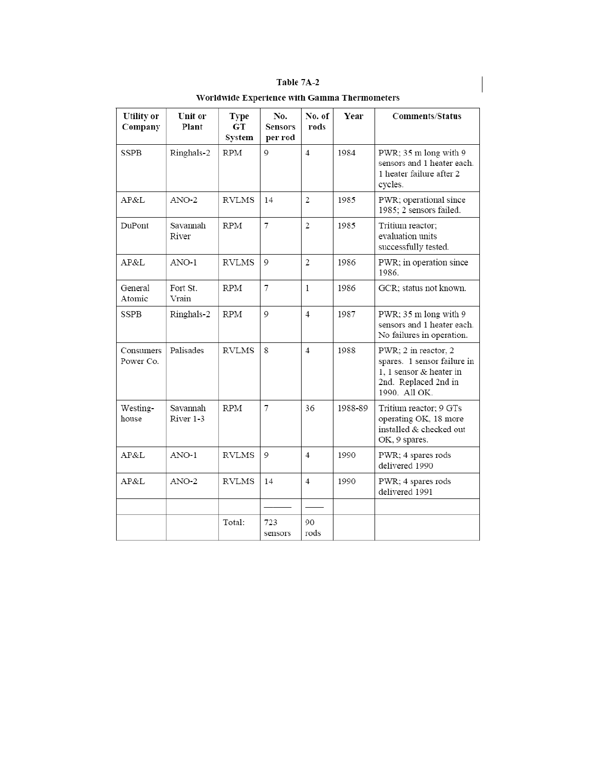| Table 1 |  |
|---------|--|
|---------|--|

| <b>Utility</b> or<br>Company | Unit or<br>Plant      | Type<br>GT<br>System | No.<br><b>Sensors</b><br>per rod | No. of<br>rods | Year    | <b>Comments/Status</b>                                                                                                  |
|------------------------------|-----------------------|----------------------|----------------------------------|----------------|---------|-------------------------------------------------------------------------------------------------------------------------|
| <b>SSPB</b>                  | Ringhals-2            | <b>RPM</b>           | $\mathsf{Q}$                     | $\overline{4}$ | 1984    | PWR; 35 m long with 9<br>sensors and 1 heater each.<br>1 heater failure after 2<br>cycles.                              |
| AP&L                         | $ANO-2$               | <b>RVLMS</b>         | 14                               | $\mathbf{2}$   | 1985    | PWR; operational since<br>1985; 2 sensors failed.                                                                       |
| DuPont                       | Savannah<br>River     | <b>RPM</b>           | 7                                | $\overline{c}$ | 1985    | Tritium reactor;<br>evaluation units<br>successfully tested.                                                            |
| AP&L                         | ANO-1                 | RVLMS                | 9                                | 2              | 1986    | PWR; in operation since<br>1986.                                                                                        |
| General<br>Atomic            | Fort St.<br>Vrain     | <b>RPM</b>           | 7                                | $\mathbf{1}$   | 1986    | GCR; status not known.                                                                                                  |
| <b>SSPB</b>                  | Ringhals-2            | <b>RPM</b>           | $\mathsf{Q}$                     | 4              | 1987    | PWR; 35 m long with 9<br>sensors and 1 heater each.<br>No failures in operation.                                        |
| Consumers<br>Power Co.       | Palisades             | <b>RVLMS</b>         | 8                                | 4              | 1988    | PWR; 2 in reactor, 2<br>spares. 1 sensor failure in<br>1. 1 sensor & heater in<br>2nd. Replaced 2nd in<br>1990. All OK. |
| Westing-<br>house            | Savannah<br>River 1-3 | <b>RPM</b>           | 7                                | 36             | 1988-89 | Tritium reactor; 9 GTs<br>operating OK, 18 more<br>installed & checked out<br>OK, 9 spares.                             |
| AP&L                         | $ANO-1$               | <b>RVLMS</b>         | $\circ$                          | 4              | 1990    | PWR; 4 spares rods<br>delivered 1990                                                                                    |
| AP&L                         | $ANO-2$               | <b>RVLMS</b>         | 14                               | 4              | 1990    | PWR; 4 spares rods<br>delivered 1991                                                                                    |
|                              |                       |                      |                                  |                |         |                                                                                                                         |
|                              |                       | Total:               | 723<br>sensors                   | 90<br>rods     |         |                                                                                                                         |

Worldwide Experience with Gamma Thermometers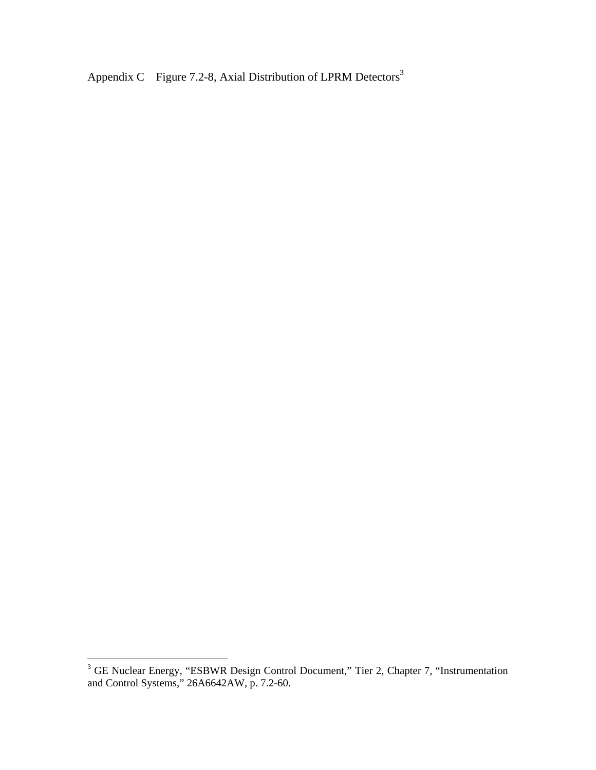Appendix C Figure 7.2-8, Axial Distribution of LPRM Detectors<sup>3</sup>

<sup>&</sup>lt;sup>3</sup> GE Nuclear Energy, "ESBWR Design Control Document," Tier 2, Chapter 7, "Instrumentation and Control Systems," 26A6642AW, p. 7.2-60.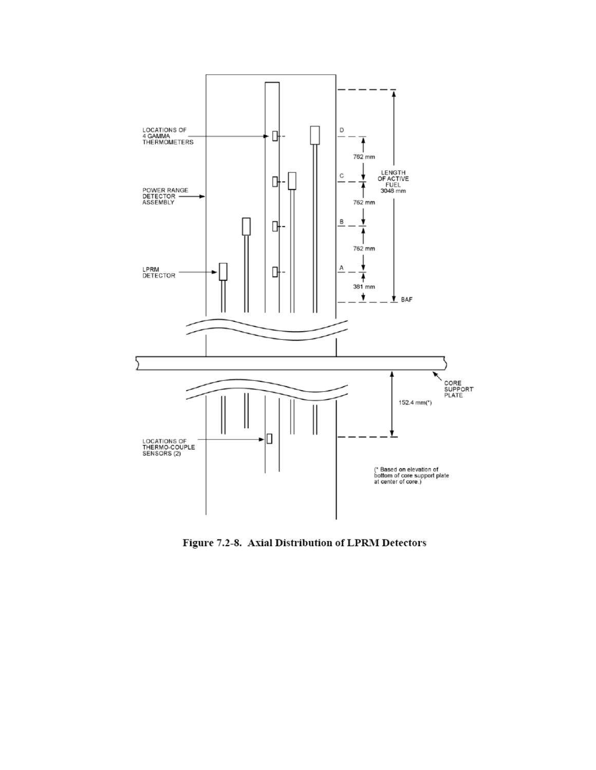

Figure 7.2-8. Axial Distribution of LPRM Detectors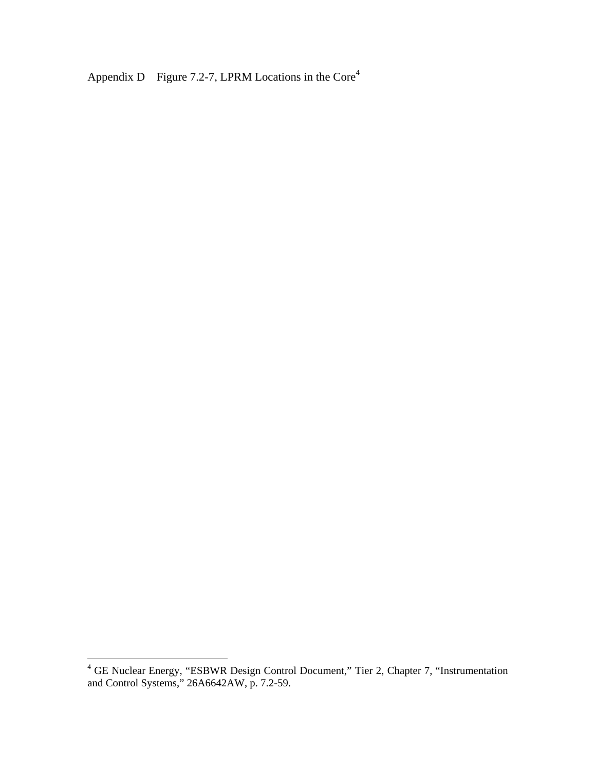Appendix D Figure 7.2-7, LPRM Locations in the Core<sup>4</sup>

 4 GE Nuclear Energy, "ESBWR Design Control Document," Tier 2, Chapter 7, "Instrumentation and Control Systems," 26A6642AW, p. 7.2-59.